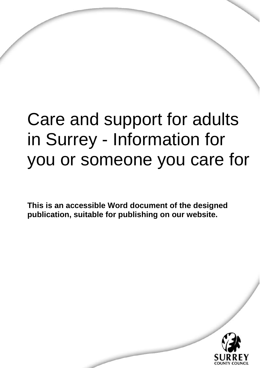# Care and support for adults in Surrey - Information for you or someone you care for

**This is an accessible Word document of the designed publication, suitable for publishing on our website.** 

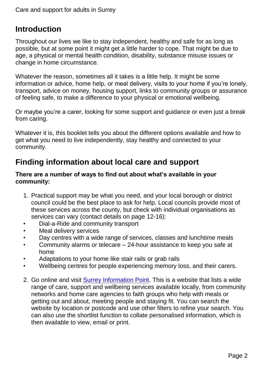# **Introduction**

Throughout our lives we like to stay independent, healthy and safe for as long as possible, but at some point it might get a little harder to cope. That might be due to age, a physical or mental health condition, disability, substance misuse issues or change in home circumstance.

Whatever the reason, sometimes all it takes is a little help. It might be some information or advice, home help, or meal delivery, visits to your home if you're lonely, transport, advice on money, housing support, links to community groups or assurance of feeling safe, to make a difference to your physical or emotional wellbeing.

Or maybe you're a carer, looking for some support and guidance or even just a break from caring.

Whatever it is, this booklet tells you about the different options available and how to get what you need to live independently, stay healthy and connected to your community.

# **Finding information about local care and support**

#### **There are a number of ways to find out about what's available in your community:**

- 1. Practical support may be what you need, and your local borough or district council could be the best place to ask for help. Local councils provide most of these services across the county, but check with individual organisations as services can vary (contact details on page 12-16):
- Dial-a-Ride and community transport
- Meal delivery services
- Day centres with a wide range of services, classes and lunchtime meals
- Community alarms or telecare 24-hour assistance to keep you safe at home
- Adaptations to your home like stair rails or grab rails
- Wellbeing centres for people experiencing memory loss, and their carers.
- 2. Go online and visit [Surrey Information Point.](http://www.surreyinformationpoint.org.uk/) This is a website that lists a wide range of care, support and wellbeing services available locally, from community networks and home care agencies to faith groups who help with meals or getting out and about, meeting people and staying fit. You can search the website by location or postcode and use other filters to refine your search. You can also use the shortlist function to collate personalised information, which is then available to view, email or print.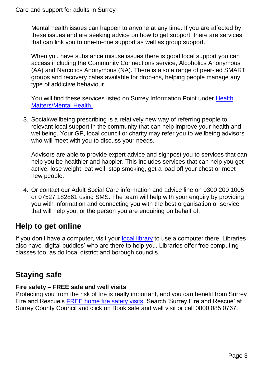Mental health issues can happen to anyone at any time. If you are affected by these issues and are seeking advice on how to get support, there are services that can link you to one-to-one support as well as group support.

When you have substance misuse issues there is good local support you can access including the Community Connections service, Alcoholics Anonymous (AA) and Narcotics Anonymous (NA). There is also a range of peer-led SMART groups and recovery cafes available for drop-ins, helping people manage any type of addictive behaviour.

You will find these services listed on Surrey Information Point under Health [Matters/Mental Health.](https://www.surreyinformationpoint.org.uk/Categories/22)

3. Social/wellbeing prescribing is a relatively new way of referring people to relevant local support in the community that can help improve your health and wellbeing. Your GP, local council or charity may refer you to wellbeing advisors who will meet with you to discuss your needs.

Advisors are able to provide expert advice and signpost you to services that can help you be healthier and happier. This includes services that can help you get active, lose weight, eat well, stop smoking, get a load off your chest or meet new people.

4. Or contact our Adult Social Care information and advice line on 0300 200 1005 or 07527 182861 using SMS. The team will help with your enquiry by providing you with information and connecting you with the best organisation or service that will help you, or the person you are enquiring on behalf of.

# **Help to get online**

If you don't have a computer, visit your [local library](https://www.surreycc.gov.uk/libraries) to use a computer there. Libraries also have 'digital buddies' who are there to help you. Libraries offer free computing classes too, as do local district and borough councils.

# **Staying safe**

## **Fire safety – FREE safe and well visits**

Protecting you from the risk of fire is really important, and you can benefit from Surrey Fire and Rescue's [FREE home fire safety visits.](https://www.surreycc.gov.uk/people-and-community/fire-and-rescue/home-safety/advice/safe-and-well) Search 'Surrey Fire and Rescue' at Surrey County Council and click on Book safe and well visit or call 0800 085 0767.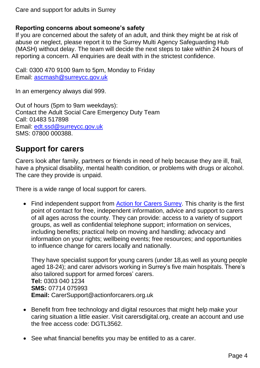## **Reporting concerns about someone's safety**

If you are concerned about the safety of an adult, and think they might be at risk of abuse or neglect, please report it to the Surrey Multi Agency Safeguarding Hub (MASH) without delay. The team will decide the next steps to take within 24 hours of reporting a concern. All enquiries are dealt with in the strictest confidence.

Call: 0300 470 9100 9am to 5pm, Monday to Friday Email: [ascmash@surreycc.gov.uk](mailto:ascmash@surreycc.gov.uk)

In an emergency always dial 999.

Out of hours (5pm to 9am weekdays): Contact the Adult Social Care Emergency Duty Team Call: 01483 517898 Email: [edt.ssd@surreycc.gov.uk](mailto:edt.ssd@surreycc.gov.uk) SMS: 07800 000388.

# **Support for carers**

Carers look after family, partners or friends in need of help because they are ill, frail, have a physical disability, mental health condition, or problems with drugs or alcohol. The care they provide is unpaid.

There is a wide range of local support for carers.

• Find independent support from [Action for Carers Surrey.](http://www.actionforcarers.org.uk/) This charity is the first point of contact for free, independent information, advice and support to carers of all ages across the county. They can provide: access to a variety of support groups, as well as confidential telephone support; information on services, including benefits; practical help on moving and handling; advocacy and information on your rights; wellbeing events; free resources; and opportunities to influence change for carers locally and nationally.

They have specialist support for young carers (under 18,as well as young people aged 18-24); and carer advisors working in Surrey's five main hospitals. There's also tailored support for armed forces' carers. **Tel:** 0303 040 1234 **SMS:** 07714 075993 **Email:** [CarerSupport@actionforcarers.org.uk](mailto:CarerSupport@actionforcarers.org.uk)

- Benefit from free technology and digital resources that might help make your caring situation a little easier. Visit carersdigital.org, create an account and use the free access code: DGTL3562
- See what financial benefits you may be entitled to as a carer.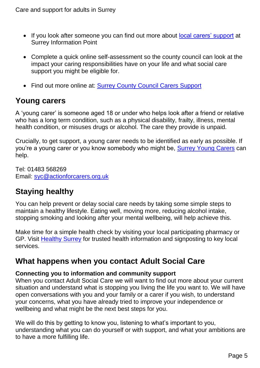- If you look after someone you can find out more about [local carers' support](https://www.surreyinformationpoint.org.uk/Categories/57) at Surrey Information Point
- Complete a quick online self-assessment so the county council can look at the impact your caring responsibilities have on your life and what social care support you might be eligible for.
- Find out more online at: [Surrey County Council Carers Support](surreycc.gov.uk/carersupport)

# **Young carers**

A 'young carer' is someone aged 18 or under who helps look after a friend or relative who has a long term condition, such as a physical disability, frailty, illness, mental health condition, or misuses drugs or alcohol. The care they provide is unpaid.

Crucially, to get support, a young carer needs to be identified as early as possible. If you're a young carer or you know somebody who might be, [Surrey Young Carers](https://www.actionforcarers.org.uk/who-we-help/young-carers-under-18/) can help.

Tel: 01483 568269 Email: [syc@actionforcarers.org.uk](mailto:syc@actionforcarers.org.uk)

# **Staying healthy**

You can help prevent or delay social care needs by taking some simple steps to maintain a healthy lifestyle. Eating well, moving more, reducing alcohol intake, stopping smoking and looking after your mental wellbeing, will help achieve this.

Make time for a simple health check by visiting your local participating pharmacy or GP. Visit [Healthy Surrey](healthysurrey.org.uk) for trusted health information and signposting to key local services.

# **What happens when you contact Adult Social Care**

# **Connecting you to information and community support**

When you contact Adult Social Care we will want to find out more about your current situation and understand what is stopping you living the life you want to. We will have open conversations with you and your family or a carer if you wish, to understand your concerns, what you have already tried to improve your independence or wellbeing and what might be the next best steps for you.

We will do this by getting to know you, listening to what's important to you, understanding what you can do yourself or with support, and what your ambitions are to have a more fulfilling life.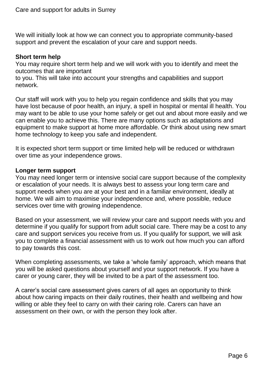We will initially look at how we can connect you to appropriate community-based support and prevent the escalation of your care and support needs.

#### **Short term help**

You may require short term help and we will work with you to identify and meet the outcomes that are important

to you. This will take into account your strengths and capabilities and support network.

Our staff will work with you to help you regain confidence and skills that you may have lost because of poor health, an injury, a spell in hospital or mental ill health. You may want to be able to use your home safely or get out and about more easily and we can enable you to achieve this. There are many options such as adaptations and equipment to make support at home more affordable. Or think about using new smart home technology to keep you safe and independent.

It is expected short term support or time limited help will be reduced or withdrawn over time as your independence grows.

#### **Longer term support**

You may need longer term or intensive social care support because of the complexity or escalation of your needs. It is always best to assess your long term care and support needs when you are at your best and in a familiar environment, ideally at home. We will aim to maximise your independence and, where possible, reduce services over time with growing independence.

Based on your assessment, we will review your care and support needs with you and determine if you qualify for support from adult social care. There may be a cost to any care and support services you receive from us. If you qualify for support, we will ask you to complete a financial assessment with us to work out how much you can afford to pay towards this cost.

When completing assessments, we take a 'whole family' approach, which means that you will be asked questions about yourself and your support network. If you have a carer or young carer, they will be invited to be a part of the assessment too.

A carer's social care assessment gives carers of all ages an opportunity to think about how caring impacts on their daily routines, their health and wellbeing and how willing or able they feel to carry on with their caring role. Carers can have an assessment on their own, or with the person they look after.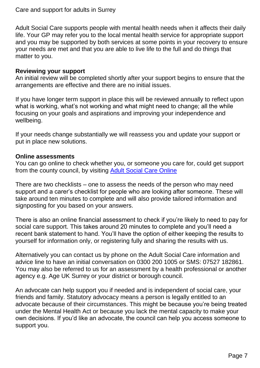Adult Social Care supports people with mental health needs when it affects their daily life. Your GP may refer you to the local mental health service for appropriate support and you may be supported by both services at some points in your recovery to ensure your needs are met and that you are able to live life to the full and do things that matter to you.

#### **Reviewing your support**

An initial review will be completed shortly after your support begins to ensure that the arrangements are effective and there are no initial issues.

If you have longer term support in place this will be reviewed annually to reflect upon what is working, what's not working and what might need to change; all the while focusing on your goals and aspirations and improving your independence and wellbeing.

If your needs change substantially we will reassess you and update your support or put in place new solutions.

#### **Online assessments**

You can go online to check whether you, or someone you care for, could get support from the county council, by visiting [Adult Social Care Online](surreycc.gov.uk/adultsocialcareonline)

There are two checklists – one to assess the needs of the person who may need support and a carer's checklist for people who are looking after someone. These will take around ten minutes to complete and will also provide tailored information and signposting for you based on your answers.

There is also an online financial assessment to check if you're likely to need to pay for social care support. This takes around 20 minutes to complete and you'll need a recent bank statement to hand. You'll have the option of either keeping the results to yourself for information only, or registering fully and sharing the results with us.

Alternatively you can contact us by phone on the Adult Social Care information and advice line to have an initial conversation on 0300 200 1005 or SMS: 07527 182861. You may also be referred to us for an assessment by a health professional or another agency e.g. Age UK Surrey or your district or borough council.

An advocate can help support you if needed and is independent of social care, your friends and family. Statutory advocacy means a person is legally entitled to an advocate because of their circumstances. This might be because you're being treated under the Mental Health Act or because you lack the mental capacity to make your own decisions. If you'd like an advocate, the council can help you access someone to support you.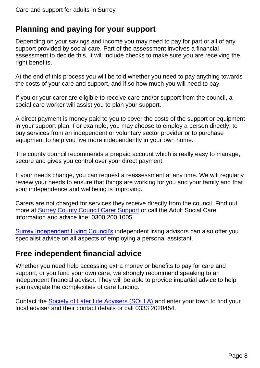# **Planning and paying for your support**

Depending on your savings and income you may need to pay for part or all of any support provided by social care. Part of the assessment involves a financial assessment to decide this. It will include checks to make sure you are receiving the right benefits.

At the end of this process you will be told whether you need to pay anything towards the costs of your care and support, and if so how much you will need to pay.

If you or your carer are eligible to receive care and/or support from the council, a social care worker will assist you to plan your support.

A direct payment is money paid to you to cover the costs of the support or equipment in your support plan. For example, you may choose to employ a person directly, to buy services from an independent or voluntary sector provider or to purchase equipment to help you live more independently in your own home.

The county council recommends a prepaid account which is really easy to manage, secure and gives you control over your direct payment.

If your needs change, you can request a reassessment at any time. We will regularly review your needs to ensure that things are working for you and your family and that your independence and wellbeing is improving.

Carers are not charged for services they receive directly from the council. Find out more at [Surrey County Council Carer Support](http://www.surreycc.gov.uk/carersupport) or call the Adult Social Care information and advice line: 0300 200 1005.

[Surrey Independent Living Council's](http://www.www.surreyilc.org.uk/) independent living advisors can also offer you specialist advice on all aspects of employing a personal assistant.

# **Free independent financial advice**

Whether you need help accessing extra money or benefits to pay for care and support, or you fund your own care, we strongly recommend speaking to an independent financial advisor. They will be able to provide impartial advice to help you navigate the complexities of care funding.

Contact the [Society of Later Life Advisers \(SOLLA\)](http://www.societyoflaterlifeadvisers.co.uk/) and enter your town to find your local adviser and their contact details or call 0333 2020454.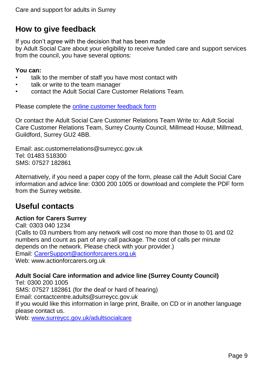# **How to give feedback**

If you don't agree with the decision that has been made

by Adult Social Care about your eligibility to receive funded care and support services from the council, you have several options:

#### **You can:**

- talk to the member of staff you have most contact with
- talk or write to the team manager
- contact the Adult Social Care Customer Relations Team.

Please complete the [online customer feedback form](http://www.surreycc.gov.uk/adultsfeedback)

Or contact the Adult Social Care Customer Relations Team Write to: Adult Social Care Customer Relations Team, Surrey County Council, Millmead House, Millmead, Guildford, Surrey GU2 4BB.

Email: asc.customerrelations@surreycc.gov.uk Tel: 01483 518300 SMS: 07527 182861

Alternatively, if you need a paper copy of the form, please call the Adult Social Care information and advice line: 0300 200 1005 or download and complete the PDF form from the Surrey website.

# **Useful contacts**

## **Action for Carers Surrey**

Call: 0303 040 1234 (Calls to 03 numbers from any network will cost no more than those to 01 and 02 numbers and count as part of any call package. The cost of calls per minute depends on the network. Please check with your provider.) Email: [CarerSupport@actionforcarers.org.uk](mailto:CarerSupport@actionforcarers.org.uk) Web: www.actionforcarers.org.uk

# **Adult Social Care information and advice line (Surrey County Council)**

Tel: 0300 200 1005 SMS: 07527 182861 (for the deaf or hard of hearing) Email: contactcentre.adults@surreycc.gov.uk If you would like this information in large print, Braille, on CD or in another language please contact us.

Web: [www.surreycc.gov.uk/adultsocialcare](http://www.surreycc.gov.uk/adultsocialcare)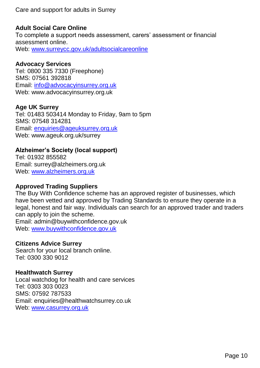#### **Adult Social Care Online**

To complete a support needs assessment, carers' assessment or financial assessment online. Web: [www.surreycc.gov.uk/adultsocialcareonline](http://www.surreycc.gov.uk/adultsocialcareonline)

#### **Advocacy Services**

Tel: 0800 335 7330 (Freephone) SMS: 07561 392818 Email: [info@advocacyinsurrey.org.uk](mailto:info@advocacyinsurrey.org.uk) Web: www.advocacyinsurrey.org.uk

#### **Age UK Surrey**

Tel: 01483 503414 Monday to Friday, 9am to 5pm SMS: 07548 314281 Email: [enquiries@ageuksurrey.org.uk](mailto:enquiries@ageuksurrey.org.uk) Web: www.ageuk.org.uk/surrey

#### **Alzheimer's Society (local support)**

Tel: 01932 855582 Email: surrey@alzheimers.org.uk Web: [www.alzheimers.org.uk](http://www.alzheimers.org.uk/)

## **Approved Trading Suppliers**

The Buy With Confidence scheme has an approved register of businesses, which have been vetted and approved by Trading Standards to ensure they operate in a legal, honest and fair way. Individuals can search for an approved trader and traders can apply to join the scheme.

Email: admin@buywithconfidence.gov.uk Web: [www.buywithconfidence.gov.uk](http://www.buywithconfidence.gov.uk/)

## **Citizens Advice Surrey**

Search for your local branch online. Tel: 0300 330 9012

#### **Healthwatch Surrey**

Local watchdog for health and care services Tel: 0303 303 0023 SMS: 07592 787533 Email: enquiries@healthwatchsurrey.co.uk Web: [www.casurrey.org.uk](http://www.casurrey.org.uk/)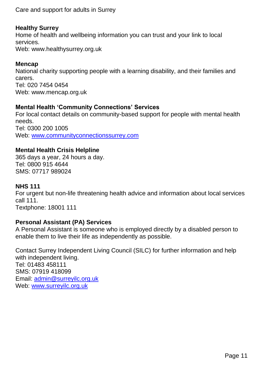## **Healthy Surrey**

Home of health and wellbeing information you can trust and your link to local services. Web: www.healthysurrey.org.uk

## **Mencap**

National charity supporting people with a learning disability, and their families and carers. Tel: 020 7454 0454 Web: www.mencap.org.uk

# **Mental Health 'Community Connections' Services**

For local contact details on community-based support for people with mental health needs. Tel: 0300 200 1005 Web: [www.communityconnectionssurrey.com](http://www.communityconnectionssurrey.com/)

# **Mental Health Crisis Helpline**

365 days a year, 24 hours a day. Tel: 0800 915 4644 SMS: 07717 989024

## **NHS 111**

For urgent but non-life threatening health advice and information about local services call 111. Textphone: 18001 111

## **Personal Assistant (PA) Services**

A Personal Assistant is someone who is employed directly by a disabled person to enable them to live their life as independently as possible.

Contact Surrey Independent Living Council (SILC) for further information and help with independent living. Tel: 01483 458111 SMS: 07919 418099 Email: [admin@surreyilc.org.uk](mailto:admin@surreyilc.org.uk) Web: www.surrevilc.org.uk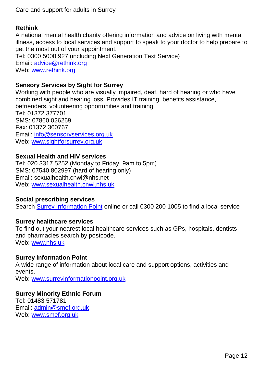## **Rethink**

A national mental health charity offering information and advice on living with mental illness, access to local services and support to speak to your doctor to help prepare to get the most out of your appointment. Tel: 0300 5000 927 (including Next Generation Text Service) Email: [advice@rethink.org](mailto:advice@rethink.org) Web: [www.rethink.org](http://www.rethink.org/)

# **Sensory Services by Sight for Surrey**

Working with people who are visually impaired, deaf, hard of hearing or who have combined sight and hearing loss. Provides IT training, benefits assistance, befrienders, volunteering opportunities and training. Tel: 01372 377701 SMS: 07860 026269 Fax: 01372 360767 Email: [info@sensoryservices.org.uk](mailto:info@sensoryservices.org.uk) Web: [www.sightforsurrey.org.uk](http://www.sightforsurrey.org.uk/)

#### **Sexual Health and HIV services**

Tel: 020 3317 5252 (Monday to Friday, 9am to 5pm) SMS: 07540 802997 (hard of hearing only) Email: sexualhealth.cnwl@nhs.net Web: [www.sexualhealth.cnwl.nhs.uk](http://www.sexualhealth.cnwl.nhs.uk/)

#### **Social prescribing services**

Search [Surrey Information Point](http://www.surreyinformationpoint.org.uk/Information/SocialPrescribing) online or call 0300 200 1005 to find a local service

## **Surrey healthcare services**

To find out your nearest local healthcare services such as GPs, hospitals, dentists and pharmacies search by postcode. Web: [www.nhs.uk](http://www.nhs.uk/)

#### **Surrey Information Point**

A wide range of information about local care and support options, activities and events.

Web: [www.surreyinformationpoint.org.uk](http://www.surreyinformationpoint.org.uk/)

#### **Surrey Minority Ethnic Forum**

Tel: 01483 571781 Email: [admin@smef.org.uk](mailto:admin@smef.org.uk) Web: [www.smef.org.uk](http://www.smef.org.uk/)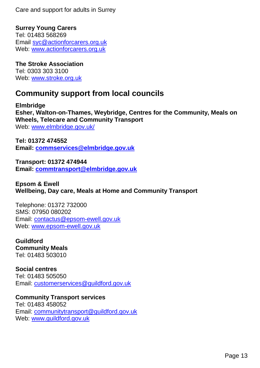**Surrey Young Carers** Tel: 01483 568269 Email [syc@actionforcarers.org.uk](mailto:syc@actionforcarers.org.uk) Web: [www.actionforcarers.org.uk](http://www.actionforcarers.org.uk/)

**The Stroke Association** Tel: 0303 303 3100 Web: [www.stroke.org.uk](http://www.stroke.org.uk/)

# **Community support from local councils**

**Elmbridge Esher, Walton-on-Thames, Weybridge, Centres for the Community, Meals on Wheels, Telecare and Community Transport** Web: [www.elmbridge.gov.uk/](http://www.elmbridge.gov.uk/)

**Tel: 01372 474552 Email: [commservices@elmbridge.gov.uk](mailto:commservices@elmbridge.gov.uk)**

**Transport: 01372 474944 Email: [commtransport@elmbridge.gov.uk](mailto:commtransport@elmbridge.gov.uk)**

**Epsom & Ewell Wellbeing, Day care, Meals at Home and Community Transport**

Telephone: 01372 732000 SMS: 07950 080202 Email: [contactus@epsom-ewell.gov.uk](mailto:contactus@epsom-ewell.gov.uk) Web: [www.epsom-ewell.gov.uk](http://www.epsom-ewell.gov.uk/)

**Guildford Community Meals** Tel: 01483 503010

**Social centres** Tel: 01483 505050 Email: [customerservices@guildford.gov.uk](mailto:customerservices@guildford.gov.uk)

**Community Transport services** Tel: 01483 458052 Email: [communitytransport@guildford.gov.uk](mailto:communitytransport@guildford.gov.uk) Web: [www.guildford.gov.uk](http://www.guildford.gov.uk/)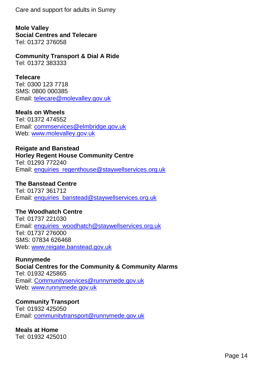**Mole Valley Social Centres and Telecare** Tel: 01372 376058

**Community Transport & Dial A Ride**

Tel: 01372 383333

## **Telecare**

Tel: 0300 123 7718 SMS: 0800 000385 Email: [telecare@molevalley.gov.uk](mailto:telecare@molevalley.gov.uk)

#### **Meals on Wheels**

Tel: 01372 474552 Email: [commservices@elmbridge.gov.uk](mailto:commservices@elmbridge.gov.uk) Web: [www.molevalley.gov.uk](http://www.molevalley.gov.uk/)

# **Reigate and Banstead**

#### **Horley Regent House Community Centre**

Tel: 01293 772240 Email: [enquiries\\_regenthouse@staywellservices.org.uk](mailto:enquiries_regenthouse@staywellservices.org.uk)

**The Banstead Centre** Tel: 01737 361712 Email: [enquiries\\_banstead@staywellservices.org.uk](mailto:enquiries_banstead@staywellservices.org.uk)

#### **The Woodhatch Centre**

Tel: 01737 221030 Email: [enquiries\\_woodhatch@staywellservices.org.uk](mailto:enquiries_woodhatch@staywellservices.org.uk) Tel: 01737 276000 SMS: 07834 626468 Web: [www.reigate.banstead.gov.uk](http://www.reigate.banstead.gov.uk/)

**Runnymede**

**Social Centres for the Community & Community Alarms** Tel: 01932 425865 Email: [Communityservices@runnymede.gov.uk](mailto:Communityservices@runnymede.gov.uk) Web: [www.runnymede.gov.uk](http://www.runnymede.gov.uk/)

## **Community Transport**

Tel: 01932 425050 Email: [communitytransport@runnymede.gov.uk](mailto:communitytransport@runnymede.gov.uk)

**Meals at Home** Tel: 01932 425010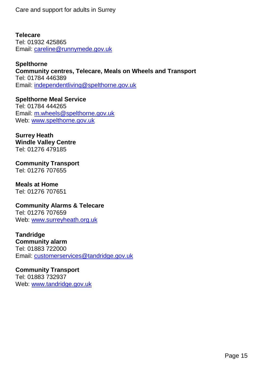#### **Telecare**

Tel: 01932 425865 Email: [careline@runnymede.gov.uk](mailto:careline@runnymede.gov.uk)

#### **Spelthorne**

**Community centres, Telecare, Meals on Wheels and Transport**  Tel: 01784 446389 Email: [independentliving@spelthorne.gov.uk](mailto:independentliving@spelthorne.gov.uk)

**Spelthorne Meal Service**  Tel: 01784 444265 Email: [m.wheels@spelthorne.gov.uk](mailto:m.wheels@spelthorne.gov.uk) Web: [www.spelthorne.gov.uk](http://www.spelthorne.gov.uk/)

#### **Surrey Heath Windle Valley Centre** Tel: 01276 479185

**Community Transport** Tel: 01276 707655

# **Meals at Home**

Tel: 01276 707651

# **Community Alarms & Telecare**

Tel: 01276 707659 Web: [www.surreyheath.org.uk](http://www.surreyheath.org.uk/)

#### **Tandridge Community alarm**

Tel: 01883 722000 Email: [customerservices@tandridge.gov.uk](mailto:customerservices@tandridge.gov.uk)

# **Community Transport**

Tel: 01883 732937 Web: [www.tandridge.gov.uk](http://www.tandridge.gov.uk/)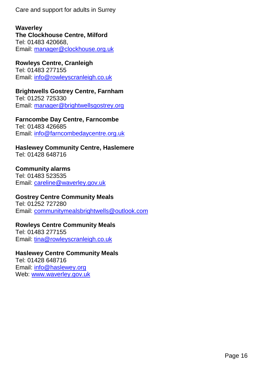#### **Waverley The Clockhouse Centre, Milford**  Tel: 01483 420668, Email: [manager@clockhouse.org.uk](mailto:manager@clockhouse.org.uk)

**Rowleys Centre, Cranleigh**  Tel: 01483 277155 Email: [info@rowleyscranleigh.co.uk](mailto:info@rowleyscranleigh.co.uk)

#### **Brightwells Gostrey Centre, Farnham**  Tel: 01252 725330 Email: [manager@brightwellsgostrey.org](mailto:manager@brightwellsgostrey.org)

**Farncombe Day Centre, Farncombe**  Tel: 01483 426685

Email: [info@farncombedaycentre.org.uk](mailto:info@farncombedaycentre.org.uk)

#### **Haslewey Community Centre, Haslemere**  Tel: 01428 648716

# **Community alarms**

Tel: 01483 523535 Email: [careline@waverley.gov.uk](mailto:careline@waverley.gov.uk)

## **Gostrey Centre Community Meals**

Tel: 01252 727280 Email: [communitymealsbrightwells@outlook.com](mailto:communitymealsbrightwells@outlook.com)

## **Rowleys Centre Community Meals**

Tel: 01483 277155 Email: [tina@rowleyscranleigh.co.uk](mailto:tina@rowleyscranleigh.co.uk)

## **Haslewey Centre Community Meals**

Tel: 01428 648716 Email: [info@haslewey.org](mailto:info@haslewey.org) Web: [www.waverley.gov.uk](http://www.waverley.gov.uk/)